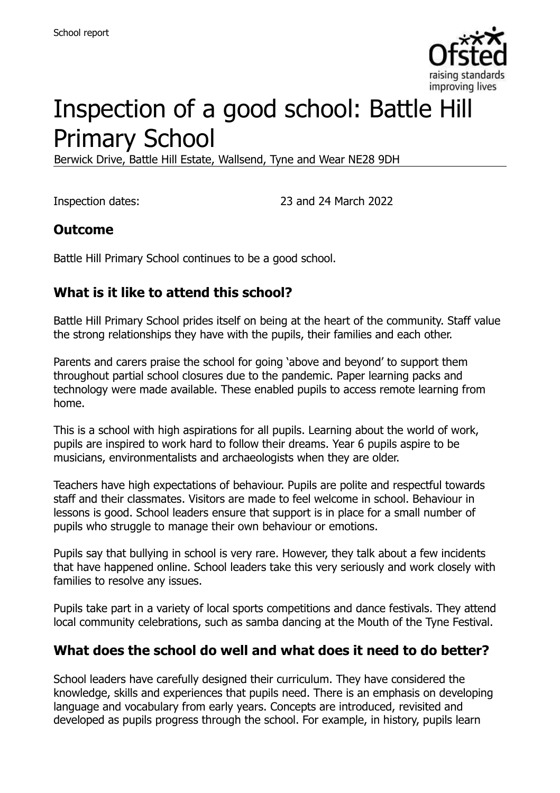

# Inspection of a good school: Battle Hill Primary School

Berwick Drive, Battle Hill Estate, Wallsend, Tyne and Wear NE28 9DH

Inspection dates: 23 and 24 March 2022

## **Outcome**

Battle Hill Primary School continues to be a good school.

## **What is it like to attend this school?**

Battle Hill Primary School prides itself on being at the heart of the community. Staff value the strong relationships they have with the pupils, their families and each other.

Parents and carers praise the school for going 'above and beyond' to support them throughout partial school closures due to the pandemic. Paper learning packs and technology were made available. These enabled pupils to access remote learning from home.

This is a school with high aspirations for all pupils. Learning about the world of work, pupils are inspired to work hard to follow their dreams. Year 6 pupils aspire to be musicians, environmentalists and archaeologists when they are older.

Teachers have high expectations of behaviour. Pupils are polite and respectful towards staff and their classmates. Visitors are made to feel welcome in school. Behaviour in lessons is good. School leaders ensure that support is in place for a small number of pupils who struggle to manage their own behaviour or emotions.

Pupils say that bullying in school is very rare. However, they talk about a few incidents that have happened online. School leaders take this very seriously and work closely with families to resolve any issues.

Pupils take part in a variety of local sports competitions and dance festivals. They attend local community celebrations, such as samba dancing at the Mouth of the Tyne Festival.

## **What does the school do well and what does it need to do better?**

School leaders have carefully designed their curriculum. They have considered the knowledge, skills and experiences that pupils need. There is an emphasis on developing language and vocabulary from early years. Concepts are introduced, revisited and developed as pupils progress through the school. For example, in history, pupils learn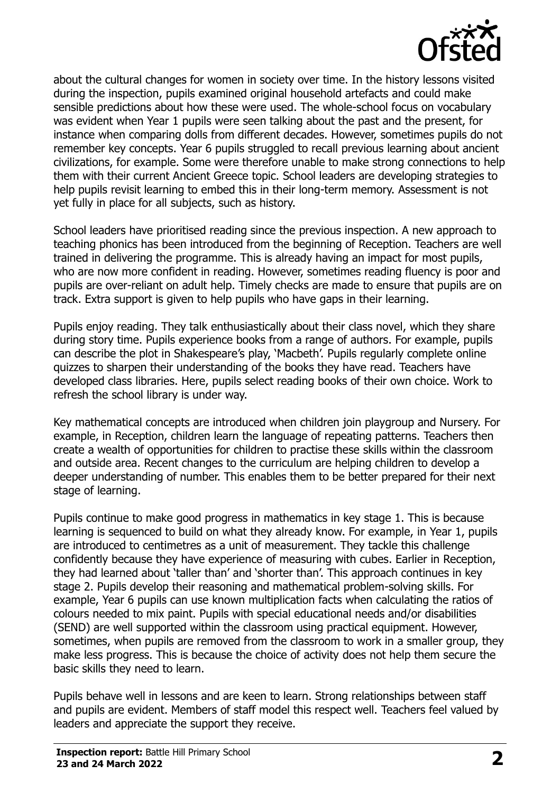

about the cultural changes for women in society over time. In the history lessons visited during the inspection, pupils examined original household artefacts and could make sensible predictions about how these were used. The whole-school focus on vocabulary was evident when Year 1 pupils were seen talking about the past and the present, for instance when comparing dolls from different decades. However, sometimes pupils do not remember key concepts. Year 6 pupils struggled to recall previous learning about ancient civilizations, for example. Some were therefore unable to make strong connections to help them with their current Ancient Greece topic. School leaders are developing strategies to help pupils revisit learning to embed this in their long-term memory. Assessment is not yet fully in place for all subjects, such as history.

School leaders have prioritised reading since the previous inspection. A new approach to teaching phonics has been introduced from the beginning of Reception. Teachers are well trained in delivering the programme. This is already having an impact for most pupils, who are now more confident in reading. However, sometimes reading fluency is poor and pupils are over-reliant on adult help. Timely checks are made to ensure that pupils are on track. Extra support is given to help pupils who have gaps in their learning.

Pupils enjoy reading. They talk enthusiastically about their class novel, which they share during story time. Pupils experience books from a range of authors. For example, pupils can describe the plot in Shakespeare's play, 'Macbeth'. Pupils regularly complete online quizzes to sharpen their understanding of the books they have read. Teachers have developed class libraries. Here, pupils select reading books of their own choice. Work to refresh the school library is under way.

Key mathematical concepts are introduced when children join playgroup and Nursery. For example, in Reception, children learn the language of repeating patterns. Teachers then create a wealth of opportunities for children to practise these skills within the classroom and outside area. Recent changes to the curriculum are helping children to develop a deeper understanding of number. This enables them to be better prepared for their next stage of learning.

Pupils continue to make good progress in mathematics in key stage 1. This is because learning is sequenced to build on what they already know. For example, in Year 1, pupils are introduced to centimetres as a unit of measurement. They tackle this challenge confidently because they have experience of measuring with cubes. Earlier in Reception, they had learned about 'taller than' and 'shorter than'. This approach continues in key stage 2. Pupils develop their reasoning and mathematical problem-solving skills. For example, Year 6 pupils can use known multiplication facts when calculating the ratios of colours needed to mix paint. Pupils with special educational needs and/or disabilities (SEND) are well supported within the classroom using practical equipment. However, sometimes, when pupils are removed from the classroom to work in a smaller group, they make less progress. This is because the choice of activity does not help them secure the basic skills they need to learn.

Pupils behave well in lessons and are keen to learn. Strong relationships between staff and pupils are evident. Members of staff model this respect well. Teachers feel valued by leaders and appreciate the support they receive.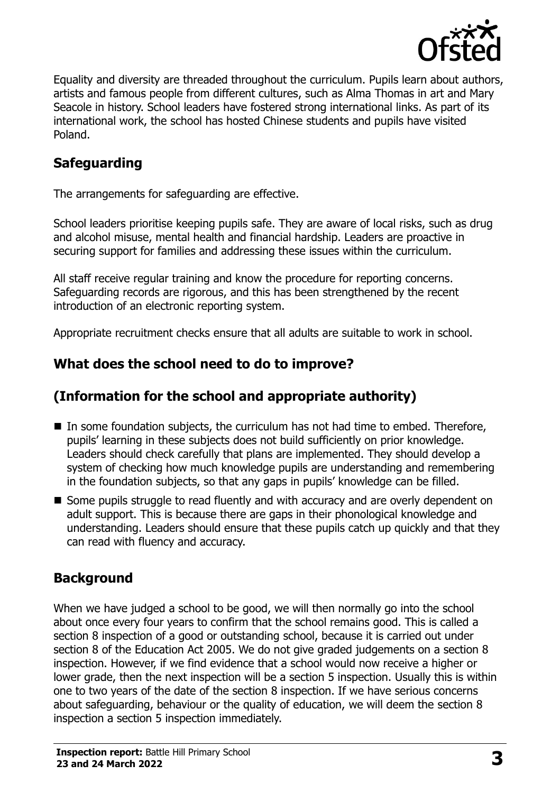

Equality and diversity are threaded throughout the curriculum. Pupils learn about authors, artists and famous people from different cultures, such as Alma Thomas in art and Mary Seacole in history. School leaders have fostered strong international links. As part of its international work, the school has hosted Chinese students and pupils have visited Poland.

## **Safeguarding**

The arrangements for safeguarding are effective.

School leaders prioritise keeping pupils safe. They are aware of local risks, such as drug and alcohol misuse, mental health and financial hardship. Leaders are proactive in securing support for families and addressing these issues within the curriculum.

All staff receive regular training and know the procedure for reporting concerns. Safeguarding records are rigorous, and this has been strengthened by the recent introduction of an electronic reporting system.

Appropriate recruitment checks ensure that all adults are suitable to work in school.

## **What does the school need to do to improve?**

## **(Information for the school and appropriate authority)**

- In some foundation subjects, the curriculum has not had time to embed. Therefore, pupils' learning in these subjects does not build sufficiently on prior knowledge. Leaders should check carefully that plans are implemented. They should develop a system of checking how much knowledge pupils are understanding and remembering in the foundation subjects, so that any gaps in pupils' knowledge can be filled.
- Some pupils struggle to read fluently and with accuracy and are overly dependent on adult support. This is because there are gaps in their phonological knowledge and understanding. Leaders should ensure that these pupils catch up quickly and that they can read with fluency and accuracy.

## **Background**

When we have judged a school to be good, we will then normally go into the school about once every four years to confirm that the school remains good. This is called a section 8 inspection of a good or outstanding school, because it is carried out under section 8 of the Education Act 2005. We do not give graded judgements on a section 8 inspection. However, if we find evidence that a school would now receive a higher or lower grade, then the next inspection will be a section 5 inspection. Usually this is within one to two years of the date of the section 8 inspection. If we have serious concerns about safeguarding, behaviour or the quality of education, we will deem the section 8 inspection a section 5 inspection immediately.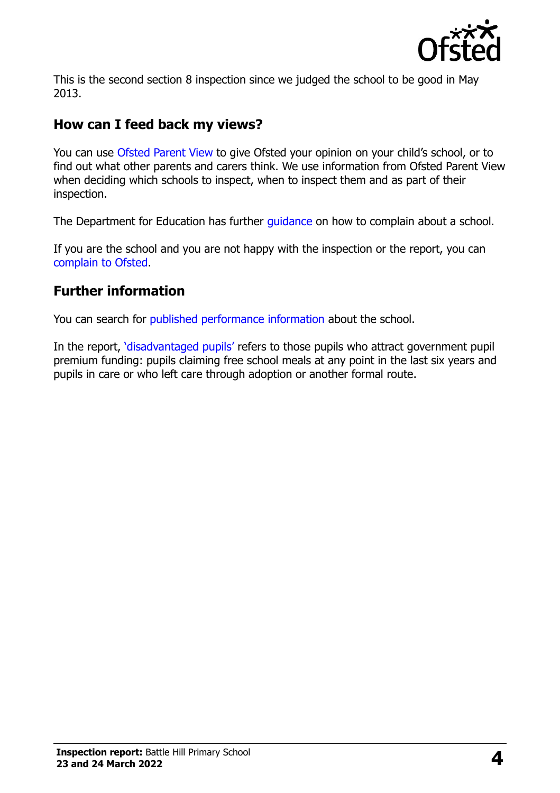

This is the second section 8 inspection since we judged the school to be good in May 2013.

## **How can I feed back my views?**

You can use [Ofsted Parent View](https://parentview.ofsted.gov.uk/) to give Ofsted your opinion on your child's school, or to find out what other parents and carers think. We use information from Ofsted Parent View when deciding which schools to inspect, when to inspect them and as part of their inspection.

The Department for Education has further quidance on how to complain about a school.

If you are the school and you are not happy with the inspection or the report, you can [complain to Ofsted.](https://www.gov.uk/complain-ofsted-report)

#### **Further information**

You can search for [published performance information](http://www.compare-school-performance.service.gov.uk/) about the school.

In the report, ['disadvantaged pupils'](http://www.gov.uk/guidance/pupil-premium-information-for-schools-and-alternative-provision-settings) refers to those pupils who attract government pupil premium funding: pupils claiming free school meals at any point in the last six years and pupils in care or who left care through adoption or another formal route.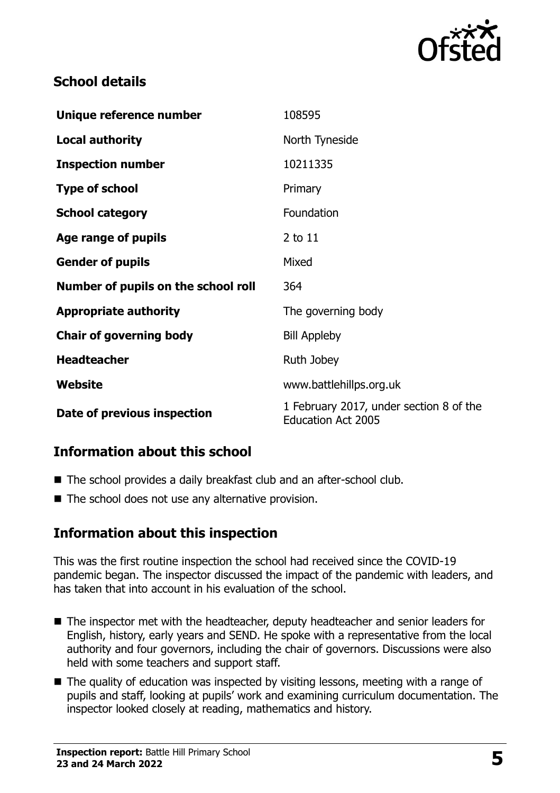

## **School details**

| Unique reference number             | 108595                                                               |
|-------------------------------------|----------------------------------------------------------------------|
| <b>Local authority</b>              | North Tyneside                                                       |
| <b>Inspection number</b>            | 10211335                                                             |
| <b>Type of school</b>               | Primary                                                              |
| <b>School category</b>              | Foundation                                                           |
| Age range of pupils                 | 2 to 11                                                              |
| <b>Gender of pupils</b>             | Mixed                                                                |
| Number of pupils on the school roll | 364                                                                  |
| <b>Appropriate authority</b>        | The governing body                                                   |
| <b>Chair of governing body</b>      | <b>Bill Appleby</b>                                                  |
| <b>Headteacher</b>                  | Ruth Jobey                                                           |
| Website                             | www.battlehillps.org.uk                                              |
| Date of previous inspection         | 1 February 2017, under section 8 of the<br><b>Education Act 2005</b> |

## **Information about this school**

- The school provides a daily breakfast club and an after-school club.
- $\blacksquare$  The school does not use any alternative provision.

## **Information about this inspection**

This was the first routine inspection the school had received since the COVID-19 pandemic began. The inspector discussed the impact of the pandemic with leaders, and has taken that into account in his evaluation of the school.

- The inspector met with the headteacher, deputy headteacher and senior leaders for English, history, early years and SEND. He spoke with a representative from the local authority and four governors, including the chair of governors. Discussions were also held with some teachers and support staff.
- The quality of education was inspected by visiting lessons, meeting with a range of pupils and staff, looking at pupils' work and examining curriculum documentation. The inspector looked closely at reading, mathematics and history.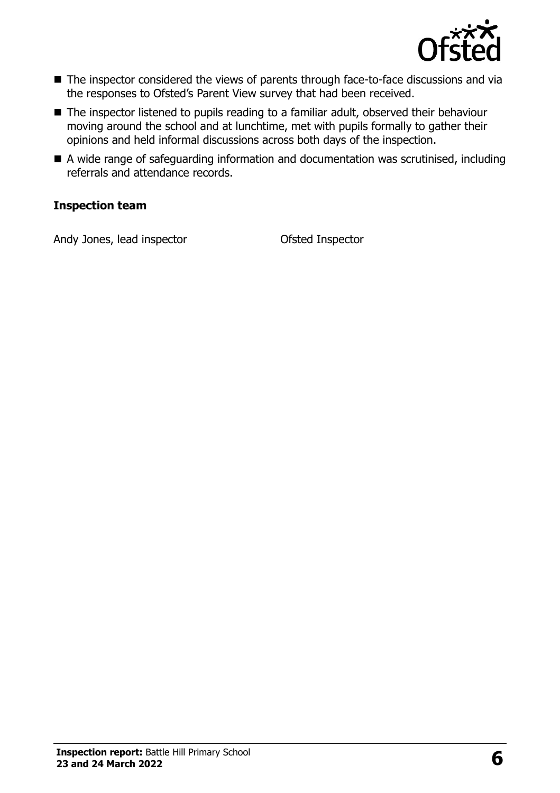

- The inspector considered the views of parents through face-to-face discussions and via the responses to Ofsted's Parent View survey that had been received.
- The inspector listened to pupils reading to a familiar adult, observed their behaviour moving around the school and at lunchtime, met with pupils formally to gather their opinions and held informal discussions across both days of the inspection.
- A wide range of safeguarding information and documentation was scrutinised, including referrals and attendance records.

#### **Inspection team**

Andy Jones, lead inspector **Contact Contact Contact Contact Contact Contact Contact Contact Contact Contact Contact Contact Contact Contact Contact Contact Contact Contact Contact Contact Contact Contact Contact Contact Co**